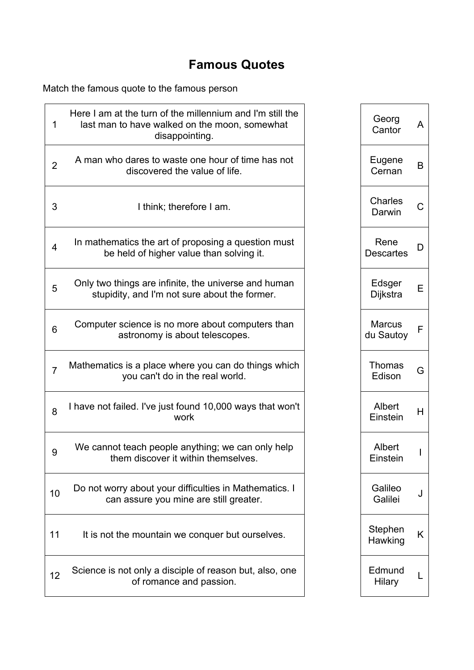## **Famous Quotes**

Match the famous quote to the famous person

| 1              | Here I am at the turn of the millennium and I'm still the<br>last man to have walked on the moon, somewhat<br>disappointing. | Georg<br>Cantor            | A  |
|----------------|------------------------------------------------------------------------------------------------------------------------------|----------------------------|----|
| $\overline{2}$ | A man who dares to waste one hour of time has not<br>discovered the value of life.                                           | Eugene<br>Cernan           | B  |
| 3              | I think; therefore I am.                                                                                                     | Charles<br>Darwin          | C  |
| 4              | In mathematics the art of proposing a question must<br>be held of higher value than solving it.                              | Rene<br><b>Descartes</b>   | D  |
| 5              | Only two things are infinite, the universe and human<br>stupidity, and I'm not sure about the former.                        | Edsger<br>Dijkstra         | Е  |
| 6              | Computer science is no more about computers than<br>astronomy is about telescopes.                                           | <b>Marcus</b><br>du Sautoy | F  |
| $\overline{7}$ | Mathematics is a place where you can do things which<br>you can't do in the real world.                                      | Thomas<br>Edison           | G  |
| 8              | I have not failed. I've just found 10,000 ways that won't<br>work                                                            | Albert<br>Einstein         | H. |
| 9              | We cannot teach people anything; we can only help<br>them discover it within themselves.                                     | Albert<br>Einstein         |    |
| 10             | Do not worry about your difficulties in Mathematics. I<br>can assure you mine are still greater.                             | Galileo<br>Galilei         | J  |
| 11             | It is not the mountain we conquer but ourselves.                                                                             | Stephen<br>Hawking         | K  |
| 12             | Science is not only a disciple of reason but, also, one<br>of romance and passion.                                           | Edmund<br>Hilary           |    |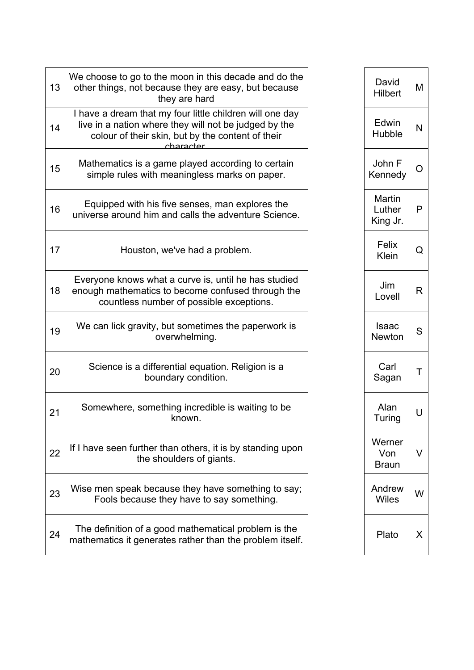| 13 | We choose to go to the moon in this decade and do the<br>other things, not because they are easy, but because<br>they are hard                                                      | David<br><b>Hilbert</b>       | M |
|----|-------------------------------------------------------------------------------------------------------------------------------------------------------------------------------------|-------------------------------|---|
| 14 | I have a dream that my four little children will one day<br>live in a nation where they will not be judged by the<br>colour of their skin, but by the content of their<br>character | Edwin<br>Hubble               | N |
| 15 | Mathematics is a game played according to certain<br>simple rules with meaningless marks on paper.                                                                                  | John F<br>Kennedy             | O |
| 16 | Equipped with his five senses, man explores the<br>universe around him and calls the adventure Science.                                                                             | Martin<br>Luther<br>King Jr.  | P |
| 17 | Houston, we've had a problem.                                                                                                                                                       | Felix<br>Klein                | Q |
| 18 | Everyone knows what a curve is, until he has studied<br>enough mathematics to become confused through the<br>countless number of possible exceptions.                               | Jim<br>Lovell                 | R |
| 19 | We can lick gravity, but sometimes the paperwork is<br>overwhelming.                                                                                                                | <b>Isaac</b><br><b>Newton</b> | S |
| 20 | Science is a differential equation. Religion is a<br>boundary condition.                                                                                                            | Carl<br>Sagan                 | T |
| 21 | Somewhere, something incredible is waiting to be.<br>known.                                                                                                                         | Alan<br>Turing                | U |
| 22 | If I have seen further than others, it is by standing upon<br>the shoulders of giants.                                                                                              | Werner<br>Von<br><b>Braun</b> | V |
| 23 | Wise men speak because they have something to say;<br>Fools because they have to say something.                                                                                     | Andrew<br>Wiles               | W |
| 24 | The definition of a good mathematical problem is the<br>mathematics it generates rather than the problem itself.                                                                    | Plato                         | X |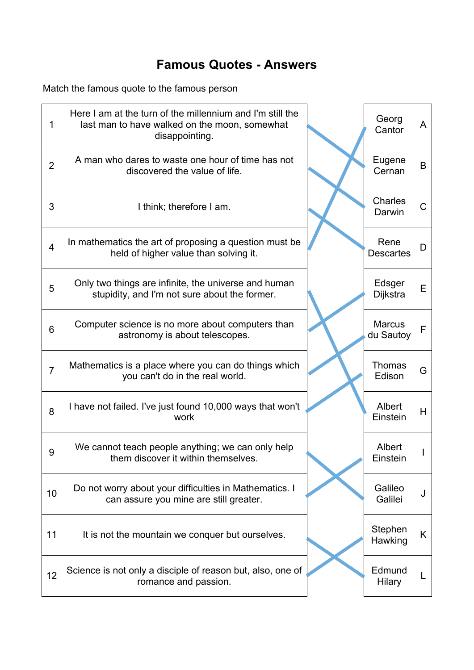## **Famous Quotes - Answers**

Match the famous quote to the famous person

| 1              | Here I am at the turn of the millennium and I'm still the<br>last man to have walked on the moon, somewhat<br>disappointing. | Georg<br>Cantor            | A           |
|----------------|------------------------------------------------------------------------------------------------------------------------------|----------------------------|-------------|
| $\overline{2}$ | A man who dares to waste one hour of time has not<br>discovered the value of life.                                           | Eugene<br>Cernan           | B           |
| 3              | I think; therefore I am.                                                                                                     | Charles<br>Darwin          | $\mathsf C$ |
| $\overline{4}$ | In mathematics the art of proposing a question must be<br>held of higher value than solving it.                              | Rene<br><b>Descartes</b>   | D           |
| 5              | Only two things are infinite, the universe and human<br>stupidity, and I'm not sure about the former.                        | Edsger<br>Dijkstra         | E           |
| 6              | Computer science is no more about computers than<br>astronomy is about telescopes.                                           | <b>Marcus</b><br>du Sautoy | F           |
| $\overline{7}$ | Mathematics is a place where you can do things which<br>you can't do in the real world.                                      | <b>Thomas</b><br>Edison    | G           |
| 8              | I have not failed. I've just found 10,000 ways that won't<br>work                                                            | Albert<br>Einstein         | H           |
| 9              | We cannot teach people anything; we can only help<br>them discover it within themselves.                                     | Albert<br>Einstein         |             |
| 10             | Do not worry about your difficulties in Mathematics. I<br>can assure you mine are still greater.                             | Galileo<br>Galilei         | J           |
| 11             | It is not the mountain we conquer but ourselves.                                                                             | Stephen<br>Hawking         | K           |
| 12             | Science is not only a disciple of reason but, also, one of<br>romance and passion.                                           | Edmund<br><b>Hilary</b>    |             |